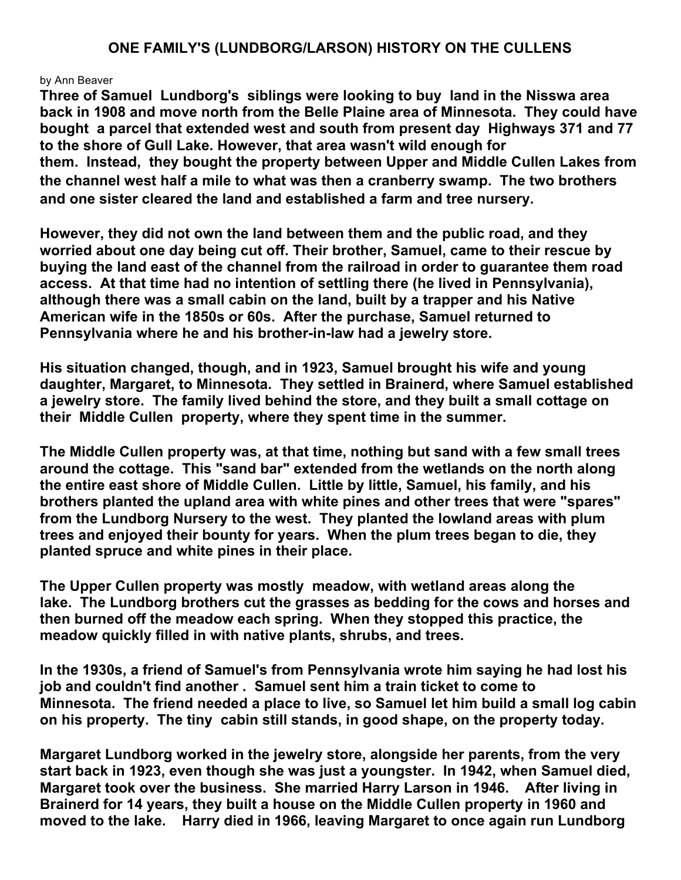## **ONE FAMILY'S (LUNDBORG/LARSON) HISTORY ON THE CULLENS**

## by Ann Beaver

**Three of Samuel Lundborg's siblings were looking to buy land in the Nisswa area back in 1908 and move north from the Belle Plaine area of Minnesota. They could have bought a parcel that extended west and south from present day Highways 371 and 77 to the shore of Gull Lake. However, that area wasn't wild enough for them. Instead, they bought the property between Upper and Middle Cullen Lakes from the channel west half a mile to what was then a cranberry swamp. The two brothers and one sister cleared the land and established a farm and tree nursery.**

**However, they did not own the land between them and the public road, and they worried about one day being cut off. Their brother, Samuel, came to their rescue by buying the land east of the channel from the railroad in order to guarantee them road access. At that time had no intention of settling there (he lived in Pennsylvania), although there was a small cabin on the land, built by a trapper and his Native American wife in the 1850s or 60s. After the purchase, Samuel returned to Pennsylvania where he and his brother-in-law had a jewelry store.**

**His situation changed, though, and in 1923, Samuel brought his wife and young daughter, Margaret, to Minnesota. They settled in Brainerd, where Samuel established a jewelry store. The family lived behind the store, and they built a small cottage on their Middle Cullen property, where they spent time in the summer.**

**The Middle Cullen property was, at that time, nothing but sand with a few small trees around the cottage. This "sand bar" extended from the wetlands on the north along the entire east shore of Middle Cullen. Little by little, Samuel, his family, and his brothers planted the upland area with white pines and other trees that were "spares" from the Lundborg Nursery to the west. They planted the lowland areas with plum trees and enjoyed their bounty for years. When the plum trees began to die, they planted spruce and white pines in their place.**

**The Upper Cullen property was mostly meadow, with wetland areas along the lake. The Lundborg brothers cut the grasses as bedding for the cows and horses and then burned off the meadow each spring. When they stopped this practice, the meadow quickly filled in with native plants, shrubs, and trees.**

**In the 1930s, a friend of Samuel's from Pennsylvania wrote him saying he had lost his job and couldn't find another . Samuel sent him a train ticket to come to Minnesota. The friend needed a place to live, so Samuel let him build a small log cabin on his property. The tiny cabin still stands, in good shape, on the property today.**

**Margaret Lundborg worked in the jewelry store, alongside her parents, from the very start back in 1923, even though she was just a youngster. In 1942, when Samuel died, Margaret took over the business. She married Harry Larson in 1946. After living in Brainerd for 14 years, they built a house on the Middle Cullen property in 1960 and moved to the lake. Harry died in 1966, leaving Margaret to once again run Lundborg**